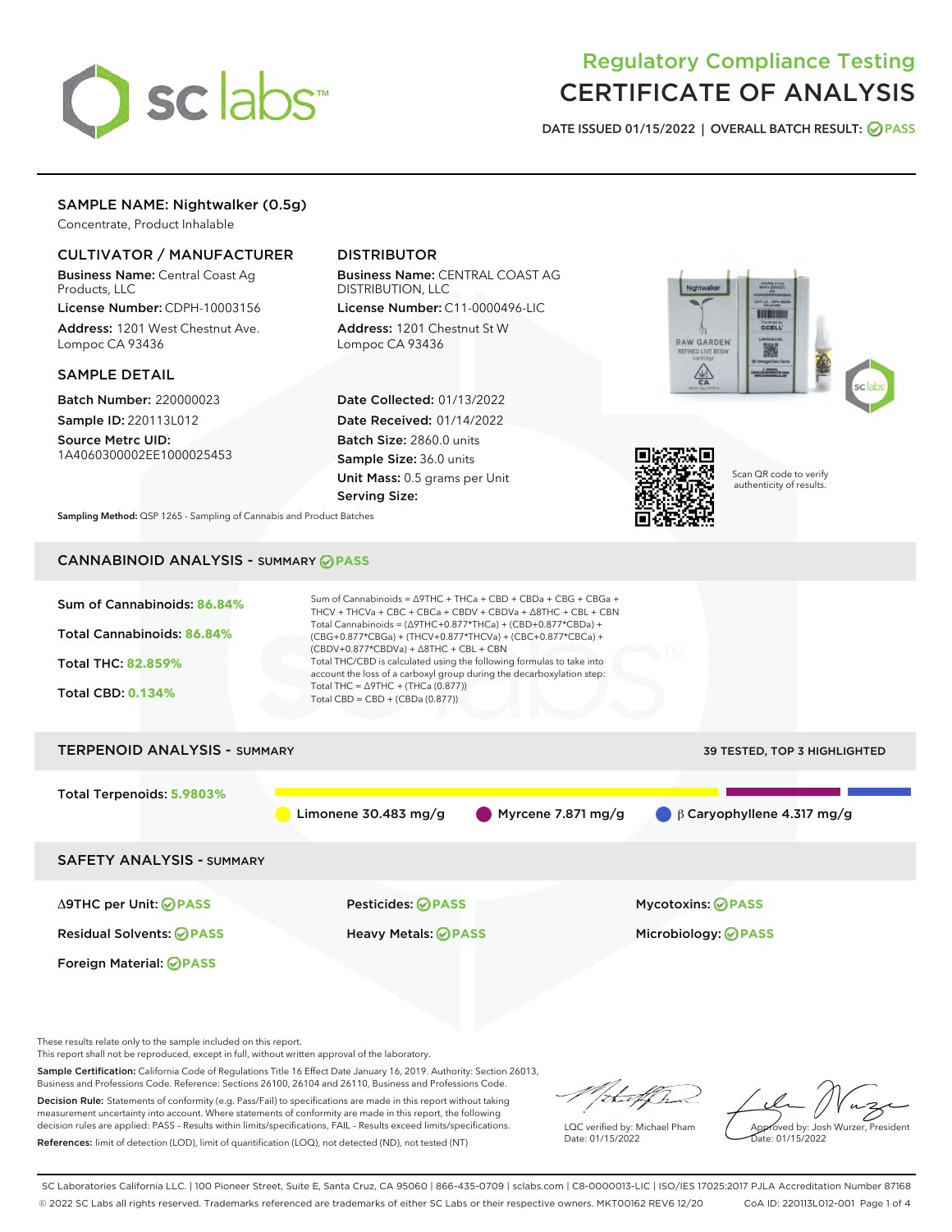

# Regulatory Compliance Testing CERTIFICATE OF ANALYSIS

DATE ISSUED 01/15/2022 | OVERALL BATCH RESULT: @ PASS

# SAMPLE NAME: Nightwalker (0.5g)

Concentrate, Product Inhalable

# CULTIVATOR / MANUFACTURER

Business Name: Central Coast Ag Products, LLC

License Number: CDPH-10003156 Address: 1201 West Chestnut Ave. Lompoc CA 93436

### SAMPLE DETAIL

Batch Number: 220000023 Sample ID: 220113L012

Source Metrc UID: 1A4060300002EE1000025453

# DISTRIBUTOR

Business Name: CENTRAL COAST AG DISTRIBUTION, LLC License Number: C11-0000496-LIC

Address: 1201 Chestnut St W Lompoc CA 93436

Date Collected: 01/13/2022 Date Received: 01/14/2022 Batch Size: 2860.0 units Sample Size: 36.0 units Unit Mass: 0.5 grams per Unit Serving Size:





Scan QR code to verify authenticity of results.

Sampling Method: QSP 1265 - Sampling of Cannabis and Product Batches

# CANNABINOID ANALYSIS - SUMMARY **PASS**



These results relate only to the sample included on this report.

This report shall not be reproduced, except in full, without written approval of the laboratory.

Sample Certification: California Code of Regulations Title 16 Effect Date January 16, 2019. Authority: Section 26013, Business and Professions Code. Reference: Sections 26100, 26104 and 26110, Business and Professions Code.

Decision Rule: Statements of conformity (e.g. Pass/Fail) to specifications are made in this report without taking measurement uncertainty into account. Where statements of conformity are made in this report, the following decision rules are applied: PASS – Results within limits/specifications, FAIL – Results exceed limits/specifications. References: limit of detection (LOD), limit of quantification (LOQ), not detected (ND), not tested (NT)

that fCh

LQC verified by: Michael Pham Date: 01/15/2022

Approved by: Josh Wurzer, President ate: 01/15/2022

SC Laboratories California LLC. | 100 Pioneer Street, Suite E, Santa Cruz, CA 95060 | 866-435-0709 | sclabs.com | C8-0000013-LIC | ISO/IES 17025:2017 PJLA Accreditation Number 87168 © 2022 SC Labs all rights reserved. Trademarks referenced are trademarks of either SC Labs or their respective owners. MKT00162 REV6 12/20 CoA ID: 220113L012-001 Page 1 of 4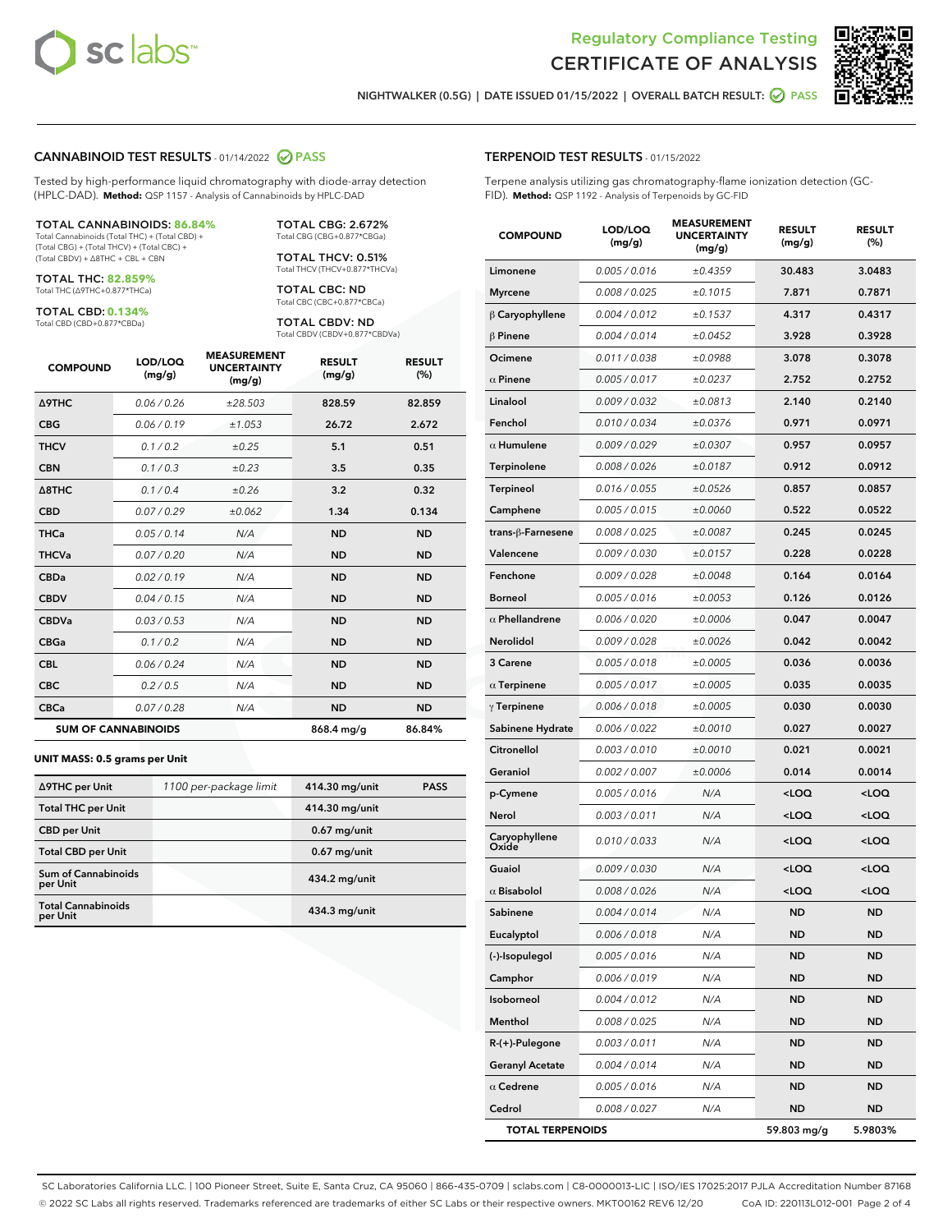



NIGHTWALKER (0.5G) | DATE ISSUED 01/15/2022 | OVERALL BATCH RESULT: **⊘** PASS

### CANNABINOID TEST RESULTS - 01/14/2022 2 PASS

Tested by high-performance liquid chromatography with diode-array detection (HPLC-DAD). **Method:** QSP 1157 - Analysis of Cannabinoids by HPLC-DAD

#### TOTAL CANNABINOIDS: **86.84%**

Total Cannabinoids (Total THC) + (Total CBD) + (Total CBG) + (Total THCV) + (Total CBC) + (Total CBDV) + ∆8THC + CBL + CBN

TOTAL THC: **82.859%** Total THC (∆9THC+0.877\*THCa)

TOTAL CBD: **0.134%**

Total CBD (CBD+0.877\*CBDa)

TOTAL CBG: 2.672% Total CBG (CBG+0.877\*CBGa)

TOTAL THCV: 0.51% Total THCV (THCV+0.877\*THCVa)

TOTAL CBC: ND Total CBC (CBC+0.877\*CBCa)

TOTAL CBDV: ND Total CBDV (CBDV+0.877\*CBDVa)

| <b>COMPOUND</b>            | LOD/LOQ<br>(mg/g) | <b>MEASUREMENT</b><br><b>UNCERTAINTY</b><br>(mg/g) | <b>RESULT</b><br>(mg/g) | <b>RESULT</b><br>(%) |
|----------------------------|-------------------|----------------------------------------------------|-------------------------|----------------------|
| Δ9THC                      | 0.06 / 0.26       | ±28.503                                            | 828.59                  | 82.859               |
| <b>CBG</b>                 | 0.06/0.19         | ±1.053                                             | 26.72                   | 2.672                |
| <b>THCV</b>                | 0.1 / 0.2         | ±0.25                                              | 5.1                     | 0.51                 |
| <b>CBN</b>                 | 0.1/0.3           | ±0.23                                              | 3.5                     | 0.35                 |
| $\triangle$ 8THC           | 0.1/0.4           | ±0.26                                              | 3.2                     | 0.32                 |
| <b>CBD</b>                 | 0.07 / 0.29       | ±0.062                                             | 1.34                    | 0.134                |
| <b>THCa</b>                | 0.05/0.14         | N/A                                                | <b>ND</b>               | <b>ND</b>            |
| <b>THCVa</b>               | 0.07/0.20         | N/A                                                | <b>ND</b>               | <b>ND</b>            |
| <b>CBDa</b>                | 0.02/0.19         | N/A                                                | <b>ND</b>               | <b>ND</b>            |
| <b>CBDV</b>                | 0.04 / 0.15       | N/A                                                | <b>ND</b>               | <b>ND</b>            |
| <b>CBDVa</b>               | 0.03/0.53         | N/A                                                | <b>ND</b>               | <b>ND</b>            |
| <b>CBGa</b>                | 0.1 / 0.2         | N/A                                                | <b>ND</b>               | <b>ND</b>            |
| <b>CBL</b>                 | 0.06 / 0.24       | N/A                                                | <b>ND</b>               | <b>ND</b>            |
| <b>CBC</b>                 | 0.2 / 0.5         | N/A                                                | <b>ND</b>               | <b>ND</b>            |
| <b>CBCa</b>                | 0.07 / 0.28       | N/A                                                | <b>ND</b>               | <b>ND</b>            |
| <b>SUM OF CANNABINOIDS</b> |                   |                                                    | 868.4 mg/g              | 86.84%               |

#### **UNIT MASS: 0.5 grams per Unit**

| ∆9THC per Unit                         | 1100 per-package limit | 414.30 mg/unit | <b>PASS</b> |
|----------------------------------------|------------------------|----------------|-------------|
| <b>Total THC per Unit</b>              |                        | 414.30 mg/unit |             |
| <b>CBD per Unit</b>                    |                        | $0.67$ mg/unit |             |
| <b>Total CBD per Unit</b>              |                        | $0.67$ mg/unit |             |
| <b>Sum of Cannabinoids</b><br>per Unit |                        | 434.2 mg/unit  |             |
| <b>Total Cannabinoids</b><br>per Unit  |                        | 434.3 mg/unit  |             |

| <b>COMPOUND</b>         | LOD/LOQ<br>(mg/g) | ASUREIVI<br><b>UNCERTAINTY</b><br>(mg/g) | <b>RESULT</b><br>(mg/g)                         | <b>RESULT</b><br>$(\%)$ |
|-------------------------|-------------------|------------------------------------------|-------------------------------------------------|-------------------------|
| Limonene                | 0.005 / 0.016     | ±0.4359                                  | 30.483                                          | 3.0483                  |
| <b>Myrcene</b>          | 0.008 / 0.025     | ±0.1015                                  | 7.871                                           | 0.7871                  |
| $\beta$ Caryophyllene   | 0.004 / 0.012     | ±0.1537                                  | 4.317                                           | 0.4317                  |
| $\beta$ Pinene          | 0.004 / 0.014     | ±0.0452                                  | 3.928                                           | 0.3928                  |
| Ocimene                 | 0.011 / 0.038     | ±0.0988                                  | 3.078                                           | 0.3078                  |
| $\alpha$ Pinene         | 0.005 / 0.017     | ±0.0237                                  | 2.752                                           | 0.2752                  |
| Linalool                | 0.009 / 0.032     | ±0.0813                                  | 2.140                                           | 0.2140                  |
| Fenchol                 | 0.010 / 0.034     | ±0.0376                                  | 0.971                                           | 0.0971                  |
| $\alpha$ Humulene       | 0.009 / 0.029     | ±0.0307                                  | 0.957                                           | 0.0957                  |
| Terpinolene             | 0.008 / 0.026     | ±0.0187                                  | 0.912                                           | 0.0912                  |
| Terpineol               | 0.016 / 0.055     | ±0.0526                                  | 0.857                                           | 0.0857                  |
| Camphene                | 0.005 / 0.015     | ±0.0060                                  | 0.522                                           | 0.0522                  |
| trans-β-Farnesene       | 0.008 / 0.025     | ±0.0087                                  | 0.245                                           | 0.0245                  |
| Valencene               | 0.009 / 0.030     | ±0.0157                                  | 0.228                                           | 0.0228                  |
| Fenchone                | 0.009 / 0.028     | ±0.0048                                  | 0.164                                           | 0.0164                  |
| <b>Borneol</b>          | 0.005 / 0.016     | ±0.0053                                  | 0.126                                           | 0.0126                  |
| $\alpha$ Phellandrene   | 0.006 / 0.020     | ±0.0006                                  | 0.047                                           | 0.0047                  |
| <b>Nerolidol</b>        | 0.009 / 0.028     | ±0.0026                                  | 0.042                                           | 0.0042                  |
| 3 Carene                | 0.005 / 0.018     | ±0.0005                                  | 0.036                                           | 0.0036                  |
| $\alpha$ Terpinene      | 0.005 / 0.017     | ±0.0005                                  | 0.035                                           | 0.0035                  |
| $\gamma$ Terpinene      | 0.006 / 0.018     | ±0.0005                                  | 0.030                                           | 0.0030                  |
| Sabinene Hydrate        | 0.006 / 0.022     | ±0.0010                                  | 0.027                                           | 0.0027                  |
| Citronellol             | 0.003 / 0.010     | ±0.0010                                  | 0.021                                           | 0.0021                  |
| Geraniol                | 0.002 / 0.007     | ±0.0006                                  | 0.014                                           | 0.0014                  |
| p-Cymene                | 0.005 / 0.016     | N/A                                      | <loq< th=""><th><loq< th=""></loq<></th></loq<> | <loq< th=""></loq<>     |
| Nerol                   | 0.003 / 0.011     | N/A                                      | <loq< th=""><th><loq< th=""></loq<></th></loq<> | <loq< th=""></loq<>     |
| Caryophyllene<br>Oxide  | 0.010 / 0.033     | N/A                                      | <loq< th=""><th><loq< th=""></loq<></th></loq<> | <loq< th=""></loq<>     |
| Guaiol                  | 0.009 / 0.030     | N/A                                      | <loq< th=""><th><loq< th=""></loq<></th></loq<> | <loq< th=""></loq<>     |
| $\alpha$ Bisabolol      | 0.008 / 0.026     | N/A                                      | <loq< th=""><th><loq< th=""></loq<></th></loq<> | <loq< th=""></loq<>     |
| Sabinene                | 0.004 / 0.014     | N/A                                      | <b>ND</b>                                       | <b>ND</b>               |
| Eucalyptol              | 0.006 / 0.018     | N/A                                      | ND                                              | ND                      |
| (-)-Isopulegol          | 0.005 / 0.016     | N/A                                      | ND                                              | ND                      |
| Camphor                 | 0.006 / 0.019     | N/A                                      | ND                                              | ND                      |
| Isoborneol              | 0.004 / 0.012     | N/A                                      | ND                                              | ND                      |
| Menthol                 | 0.008 / 0.025     | N/A                                      | ND                                              | ND                      |
| R-(+)-Pulegone          | 0.003 / 0.011     | N/A                                      | ND                                              | ND                      |
| <b>Geranyl Acetate</b>  | 0.004 / 0.014     | N/A                                      | ND                                              | ND                      |
| $\alpha$ Cedrene        | 0.005 / 0.016     | N/A                                      | ND                                              | ND                      |
| Cedrol                  | 0.008 / 0.027     | N/A                                      | ND                                              | ND                      |
| <b>TOTAL TERPENOIDS</b> |                   |                                          | 59.803 mg/g                                     | 5.9803%                 |

SC Laboratories California LLC. | 100 Pioneer Street, Suite E, Santa Cruz, CA 95060 | 866-435-0709 | sclabs.com | C8-0000013-LIC | ISO/IES 17025:2017 PJLA Accreditation Number 87168 © 2022 SC Labs all rights reserved. Trademarks referenced are trademarks of either SC Labs or their respective owners. MKT00162 REV6 12/20 CoA ID: 220113L012-001 Page 2 of 4

# TERPENOID TEST RESULTS - 01/15/2022

Terpene analysis utilizing gas chromatography-flame ionization detection (GC-FID). **Method:** QSP 1192 - Analysis of Terpenoids by GC-FID

MEASUREMENT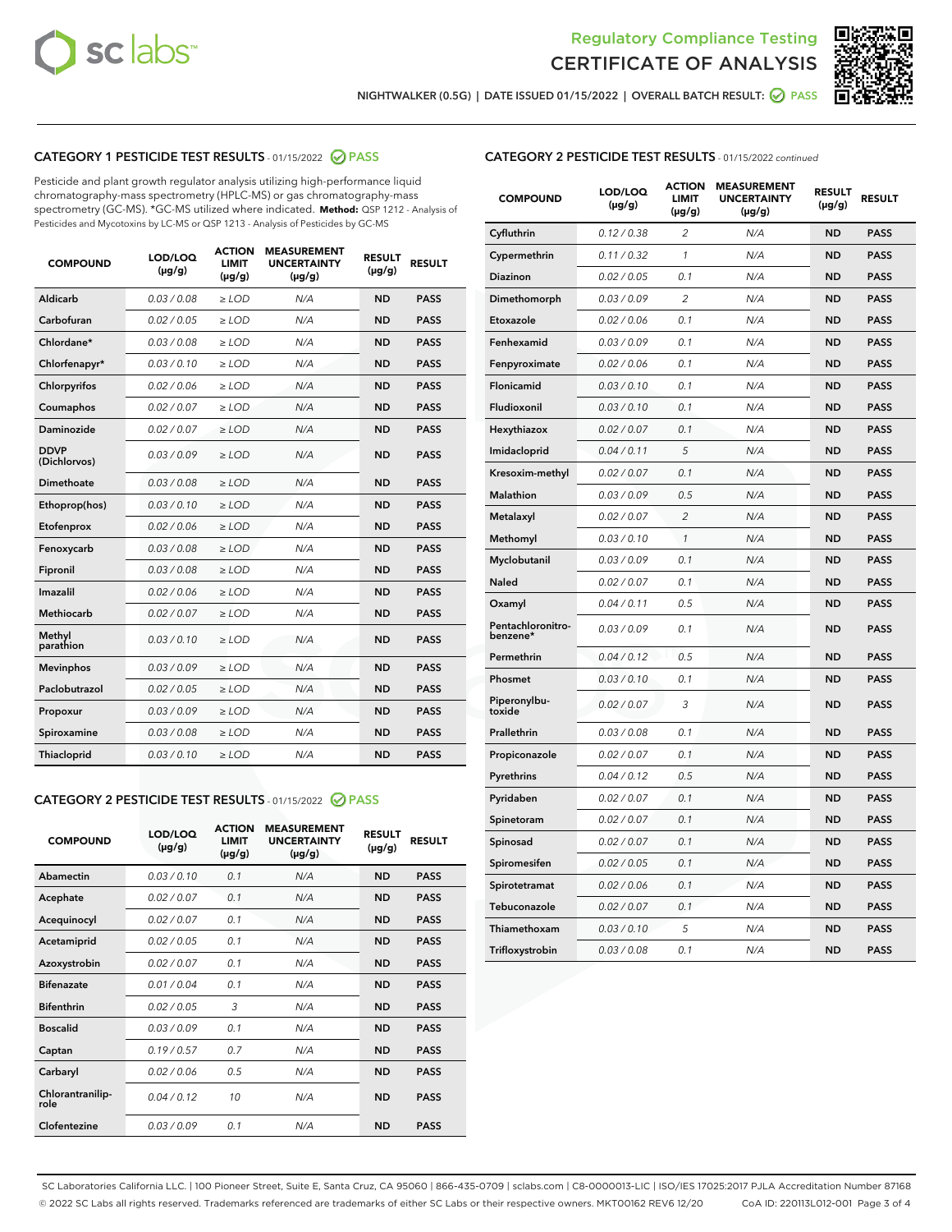



NIGHTWALKER (0.5G) | DATE ISSUED 01/15/2022 | OVERALL BATCH RESULT: ● PASS

# CATEGORY 1 PESTICIDE TEST RESULTS - 01/15/2022 2 PASS

Pesticide and plant growth regulator analysis utilizing high-performance liquid chromatography-mass spectrometry (HPLC-MS) or gas chromatography-mass spectrometry (GC-MS). \*GC-MS utilized where indicated. **Method:** QSP 1212 - Analysis of Pesticides and Mycotoxins by LC-MS or QSP 1213 - Analysis of Pesticides by GC-MS

| <b>COMPOUND</b>             | LOD/LOQ<br>$(\mu g/g)$ | <b>ACTION</b><br><b>LIMIT</b><br>$(\mu g/g)$ | <b>MEASUREMENT</b><br><b>UNCERTAINTY</b><br>$(\mu g/g)$ | <b>RESULT</b><br>$(\mu g/g)$ | <b>RESULT</b> |
|-----------------------------|------------------------|----------------------------------------------|---------------------------------------------------------|------------------------------|---------------|
| Aldicarb                    | 0.03/0.08              | $>$ LOD                                      | N/A                                                     | <b>ND</b>                    | <b>PASS</b>   |
| Carbofuran                  | 0.02 / 0.05            | $\ge$ LOD                                    | N/A                                                     | <b>ND</b>                    | <b>PASS</b>   |
| Chlordane*                  | 0.03/0.08              | $>$ LOD                                      | N/A                                                     | <b>ND</b>                    | <b>PASS</b>   |
| Chlorfenapyr*               | 0.03/0.10              | $\geq$ LOD                                   | N/A                                                     | <b>ND</b>                    | <b>PASS</b>   |
| Chlorpyrifos                | 0.02 / 0.06            | $\ge$ LOD                                    | N/A                                                     | <b>ND</b>                    | <b>PASS</b>   |
| Coumaphos                   | 0.02 / 0.07            | $\ge$ LOD                                    | N/A                                                     | <b>ND</b>                    | <b>PASS</b>   |
| Daminozide                  | 0.02 / 0.07            | $\ge$ LOD                                    | N/A                                                     | <b>ND</b>                    | <b>PASS</b>   |
| <b>DDVP</b><br>(Dichlorvos) | 0.03/0.09              | $\ge$ LOD                                    | N/A                                                     | <b>ND</b>                    | <b>PASS</b>   |
| <b>Dimethoate</b>           | 0.03 / 0.08            | $\ge$ LOD                                    | N/A                                                     | <b>ND</b>                    | <b>PASS</b>   |
| Ethoprop(hos)               | 0.03/0.10              | $\ge$ LOD                                    | N/A                                                     | <b>ND</b>                    | <b>PASS</b>   |
| Etofenprox                  | 0.02 / 0.06            | $\ge$ LOD                                    | N/A                                                     | <b>ND</b>                    | <b>PASS</b>   |
| Fenoxycarb                  | 0.03 / 0.08            | $\ge$ LOD                                    | N/A                                                     | <b>ND</b>                    | <b>PASS</b>   |
| Fipronil                    | 0.03/0.08              | $>$ LOD                                      | N/A                                                     | <b>ND</b>                    | <b>PASS</b>   |
| Imazalil                    | 0.02 / 0.06            | $\ge$ LOD                                    | N/A                                                     | <b>ND</b>                    | <b>PASS</b>   |
| <b>Methiocarb</b>           | 0.02 / 0.07            | $\ge$ LOD                                    | N/A                                                     | <b>ND</b>                    | <b>PASS</b>   |
| Methyl<br>parathion         | 0.03/0.10              | $\ge$ LOD                                    | N/A                                                     | <b>ND</b>                    | <b>PASS</b>   |
| <b>Mevinphos</b>            | 0.03/0.09              | $\ge$ LOD                                    | N/A                                                     | <b>ND</b>                    | <b>PASS</b>   |
| Paclobutrazol               | 0.02 / 0.05            | $>$ LOD                                      | N/A                                                     | <b>ND</b>                    | <b>PASS</b>   |
| Propoxur                    | 0.03/0.09              | $\ge$ LOD                                    | N/A                                                     | <b>ND</b>                    | <b>PASS</b>   |
| Spiroxamine                 | 0.03 / 0.08            | $\ge$ LOD                                    | N/A                                                     | <b>ND</b>                    | <b>PASS</b>   |
| Thiacloprid                 | 0.03/0.10              | $\ge$ LOD                                    | N/A                                                     | <b>ND</b>                    | <b>PASS</b>   |

### CATEGORY 2 PESTICIDE TEST RESULTS - 01/15/2022 2 PASS

| <b>COMPOUND</b>          | LOD/LOO<br>$(\mu g/g)$ | <b>ACTION</b><br>LIMIT<br>$(\mu g/g)$ | <b>MEASUREMENT</b><br><b>UNCERTAINTY</b><br>$(\mu g/g)$ | <b>RESULT</b><br>$(\mu g/g)$ | <b>RESULT</b> |  |
|--------------------------|------------------------|---------------------------------------|---------------------------------------------------------|------------------------------|---------------|--|
| Abamectin                | 0.03/0.10              | 0.1                                   | N/A                                                     | <b>ND</b>                    | <b>PASS</b>   |  |
| Acephate                 | 0.02/0.07              | 0.1                                   | N/A                                                     | <b>ND</b>                    | <b>PASS</b>   |  |
| Acequinocyl              | 0.02/0.07              | 0.1                                   | N/A                                                     | <b>ND</b>                    | <b>PASS</b>   |  |
| Acetamiprid              | 0.02 / 0.05            | 0.1                                   | N/A                                                     | <b>ND</b>                    | <b>PASS</b>   |  |
| Azoxystrobin             | 0.02/0.07              | 0.1                                   | N/A                                                     | <b>ND</b>                    | <b>PASS</b>   |  |
| <b>Bifenazate</b>        | 0.01 / 0.04            | 0.1                                   | N/A                                                     | <b>ND</b>                    | <b>PASS</b>   |  |
| <b>Bifenthrin</b>        | 0.02 / 0.05            | 3                                     | N/A                                                     | <b>ND</b>                    | <b>PASS</b>   |  |
| <b>Boscalid</b>          | 0.03/0.09              | 0.1                                   | N/A                                                     | <b>ND</b>                    | <b>PASS</b>   |  |
| Captan                   | 0.19/0.57              | 0.7                                   | N/A                                                     | <b>ND</b>                    | <b>PASS</b>   |  |
| Carbaryl                 | 0.02/0.06              | 0.5                                   | N/A                                                     | <b>ND</b>                    | <b>PASS</b>   |  |
| Chlorantranilip-<br>role | 0.04/0.12              | 10                                    | N/A                                                     | <b>ND</b>                    | <b>PASS</b>   |  |
| Clofentezine             | 0.03/0.09              | 0.1                                   | N/A                                                     | <b>ND</b>                    | <b>PASS</b>   |  |

| <b>CATEGORY 2 PESTICIDE TEST RESULTS</b> - 01/15/2022 continued |  |
|-----------------------------------------------------------------|--|
|                                                                 |  |

| <b>COMPOUND</b>               | LOD/LOQ<br>(µg/g) | <b>ACTION</b><br><b>LIMIT</b><br>(µg/g) | <b>MEASUREMENT</b><br><b>UNCERTAINTY</b><br>$(\mu g/g)$ | <b>RESULT</b><br>(µg/g) | <b>RESULT</b> |
|-------------------------------|-------------------|-----------------------------------------|---------------------------------------------------------|-------------------------|---------------|
| Cyfluthrin                    | 0.12 / 0.38       | $\overline{c}$                          | N/A                                                     | <b>ND</b>               | <b>PASS</b>   |
| Cypermethrin                  | 0.11 / 0.32       | $\mathcal{I}$                           | N/A                                                     | <b>ND</b>               | <b>PASS</b>   |
| <b>Diazinon</b>               | 0.02 / 0.05       | 0.1                                     | N/A                                                     | <b>ND</b>               | <b>PASS</b>   |
| Dimethomorph                  | 0.03 / 0.09       | 2                                       | N/A                                                     | <b>ND</b>               | <b>PASS</b>   |
| Etoxazole                     | 0.02 / 0.06       | 0.1                                     | N/A                                                     | <b>ND</b>               | <b>PASS</b>   |
| Fenhexamid                    | 0.03 / 0.09       | 0.1                                     | N/A                                                     | <b>ND</b>               | <b>PASS</b>   |
| Fenpyroximate                 | 0.02 / 0.06       | 0.1                                     | N/A                                                     | <b>ND</b>               | <b>PASS</b>   |
| Flonicamid                    | 0.03 / 0.10       | 0.1                                     | N/A                                                     | <b>ND</b>               | <b>PASS</b>   |
| Fludioxonil                   | 0.03/0.10         | 0.1                                     | N/A                                                     | <b>ND</b>               | <b>PASS</b>   |
| Hexythiazox                   | 0.02 / 0.07       | 0.1                                     | N/A                                                     | <b>ND</b>               | <b>PASS</b>   |
| Imidacloprid                  | 0.04 / 0.11       | 5                                       | N/A                                                     | <b>ND</b>               | <b>PASS</b>   |
| Kresoxim-methyl               | 0.02 / 0.07       | 0.1                                     | N/A                                                     | <b>ND</b>               | <b>PASS</b>   |
| <b>Malathion</b>              | 0.03 / 0.09       | 0.5                                     | N/A                                                     | <b>ND</b>               | <b>PASS</b>   |
| Metalaxyl                     | 0.02 / 0.07       | $\overline{c}$                          | N/A                                                     | <b>ND</b>               | <b>PASS</b>   |
| Methomyl                      | 0.03 / 0.10       | 1                                       | N/A                                                     | <b>ND</b>               | <b>PASS</b>   |
| Myclobutanil                  | 0.03 / 0.09       | 0.1                                     | N/A                                                     | <b>ND</b>               | <b>PASS</b>   |
| Naled                         | 0.02 / 0.07       | 0.1                                     | N/A                                                     | <b>ND</b>               | <b>PASS</b>   |
| Oxamyl                        | 0.04 / 0.11       | 0.5                                     | N/A                                                     | <b>ND</b>               | <b>PASS</b>   |
| Pentachloronitro-<br>benzene* | 0.03 / 0.09       | 0.1                                     | N/A                                                     | <b>ND</b>               | <b>PASS</b>   |
| Permethrin                    | 0.04 / 0.12       | 0.5                                     | N/A                                                     | <b>ND</b>               | <b>PASS</b>   |
| Phosmet                       | 0.03 / 0.10       | 0.1                                     | N/A                                                     | <b>ND</b>               | <b>PASS</b>   |
| Piperonylbu-<br>toxide        | 0.02 / 0.07       | 3                                       | N/A                                                     | <b>ND</b>               | <b>PASS</b>   |
| Prallethrin                   | 0.03 / 0.08       | 0.1                                     | N/A                                                     | <b>ND</b>               | <b>PASS</b>   |
| Propiconazole                 | 0.02 / 0.07       | 0.1                                     | N/A                                                     | <b>ND</b>               | <b>PASS</b>   |
| Pyrethrins                    | 0.04 / 0.12       | 0.5                                     | N/A                                                     | <b>ND</b>               | <b>PASS</b>   |
| Pyridaben                     | 0.02 / 0.07       | 0.1                                     | N/A                                                     | <b>ND</b>               | <b>PASS</b>   |
| Spinetoram                    | 0.02 / 0.07       | 0.1                                     | N/A                                                     | <b>ND</b>               | <b>PASS</b>   |
| Spinosad                      | 0.02 / 0.07       | 0.1                                     | N/A                                                     | <b>ND</b>               | <b>PASS</b>   |
| Spiromesifen                  | 0.02 / 0.05       | 0.1                                     | N/A                                                     | <b>ND</b>               | <b>PASS</b>   |
| Spirotetramat                 | 0.02 / 0.06       | 0.1                                     | N/A                                                     | <b>ND</b>               | <b>PASS</b>   |
| Tebuconazole                  | 0.02 / 0.07       | 0.1                                     | N/A                                                     | <b>ND</b>               | <b>PASS</b>   |
| Thiamethoxam                  | 0.03 / 0.10       | 5                                       | N/A                                                     | <b>ND</b>               | <b>PASS</b>   |
| Trifloxystrobin               | 0.03 / 0.08       | 0.1                                     | N/A                                                     | <b>ND</b>               | <b>PASS</b>   |

SC Laboratories California LLC. | 100 Pioneer Street, Suite E, Santa Cruz, CA 95060 | 866-435-0709 | sclabs.com | C8-0000013-LIC | ISO/IES 17025:2017 PJLA Accreditation Number 87168 © 2022 SC Labs all rights reserved. Trademarks referenced are trademarks of either SC Labs or their respective owners. MKT00162 REV6 12/20 CoA ID: 220113L012-001 Page 3 of 4